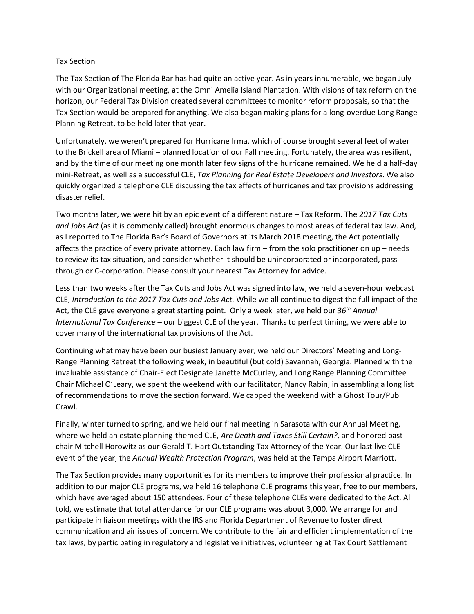## Tax Section

The Tax Section of The Florida Bar has had quite an active year. As in years innumerable, we began July with our Organizational meeting, at the Omni Amelia Island Plantation. With visions of tax reform on the horizon, our Federal Tax Division created several committees to monitor reform proposals, so that the Tax Section would be prepared for anything. We also began making plans for a long-overdue Long Range Planning Retreat, to be held later that year.

Unfortunately, we weren't prepared for Hurricane Irma, which of course brought several feet of water to the Brickell area of Miami – planned location of our Fall meeting. Fortunately, the area was resilient, and by the time of our meeting one month later few signs of the hurricane remained. We held a half-day mini-Retreat, as well as a successful CLE, *Tax Planning for Real Estate Developers and Investors*. We also quickly organized a telephone CLE discussing the tax effects of hurricanes and tax provisions addressing disaster relief.

Two months later, we were hit by an epic event of a different nature – Tax Reform. The *2017 Tax Cuts and Jobs Act* (as it is commonly called) brought enormous changes to most areas of federal tax law. And, as I reported to The Florida Bar's Board of Governors at its March 2018 meeting, the Act potentially affects the practice of every private attorney. Each law firm – from the solo practitioner on up – needs to review its tax situation, and consider whether it should be unincorporated or incorporated, passthrough or C-corporation. Please consult your nearest Tax Attorney for advice.

Less than two weeks after the Tax Cuts and Jobs Act was signed into law, we held a seven-hour webcast CLE, *Introduction to the 2017 Tax Cuts and Jobs Act.* While we all continue to digest the full impact of the Act, the CLE gave everyone a great starting point. Only a week later, we held our *36th Annual International Tax Conference* – our biggest CLE of the year. Thanks to perfect timing, we were able to cover many of the international tax provisions of the Act.

Continuing what may have been our busiest January ever, we held our Directors' Meeting and Long-Range Planning Retreat the following week, in beautiful (but cold) Savannah, Georgia. Planned with the invaluable assistance of Chair-Elect Designate Janette McCurley, and Long Range Planning Committee Chair Michael O'Leary, we spent the weekend with our facilitator, Nancy Rabin, in assembling a long list of recommendations to move the section forward. We capped the weekend with a Ghost Tour/Pub Crawl.

Finally, winter turned to spring, and we held our final meeting in Sarasota with our Annual Meeting, where we held an estate planning-themed CLE, *Are Death and Taxes Still Certain?*, and honored pastchair Mitchell Horowitz as our Gerald T. Hart Outstanding Tax Attorney of the Year. Our last live CLE event of the year, the *Annual Wealth Protection Program*, was held at the Tampa Airport Marriott.

The Tax Section provides many opportunities for its members to improve their professional practice. In addition to our major CLE programs, we held 16 telephone CLE programs this year, free to our members, which have averaged about 150 attendees. Four of these telephone CLEs were dedicated to the Act. All told, we estimate that total attendance for our CLE programs was about 3,000. We arrange for and participate in liaison meetings with the IRS and Florida Department of Revenue to foster direct communication and air issues of concern. We contribute to the fair and efficient implementation of the tax laws, by participating in regulatory and legislative initiatives, volunteering at Tax Court Settlement